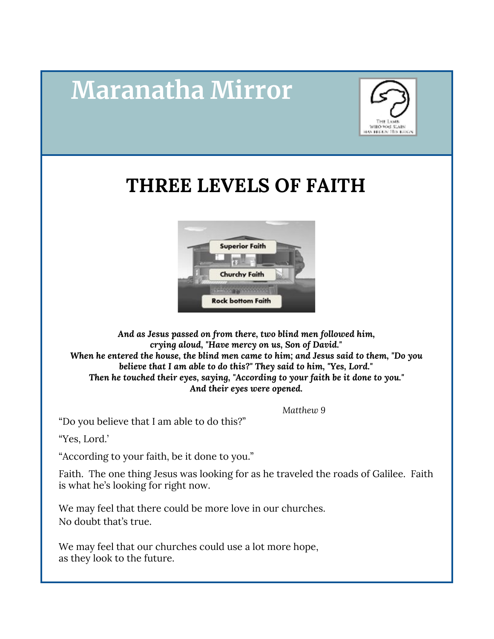# **Maranatha Mirror**



## **THREE LEVELS OF FAITH**



*And as Jesus passed on from there, two blind men followed him, crying aloud, "Have mercy on us, Son of David." When he entered the house, the blind men came to him; and Jesus said to them, "Do you believe that I am able to do this?" They said to him, "Yes, Lord." Then he touched their eyes, saying, "According to your faith be it done to you." And their eyes were opened.*

*Matthew 9*

"Do you believe that I am able to do this?"

"Yes, Lord.'

"According to your faith, be it done to you."

Faith. The one thing Jesus was looking for as he traveled the roads of Galilee. Faith is what he's looking for right now.

We may feel that there could be more love in our churches. No doubt that's true.

We may feel that our churches could use a lot more hope, as they look to the future.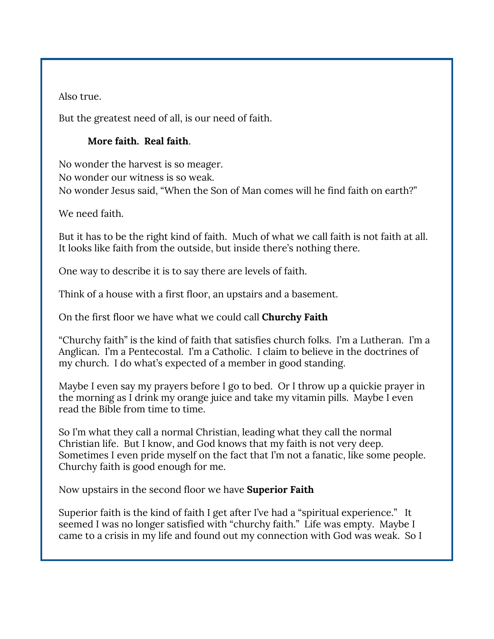Also true.

But the greatest need of all, is our need of faith.

#### **More faith. Real faith**.

No wonder the harvest is so meager. No wonder our witness is so weak. No wonder Jesus said, "When the Son of Man comes will he find faith on earth?"

We need faith.

But it has to be the right kind of faith. Much of what we call faith is not faith at all. It looks like faith from the outside, but inside there's nothing there.

One way to describe it is to say there are levels of faith.

Think of a house with a first floor, an upstairs and a basement.

On the first floor we have what we could call **Churchy Faith**

"Churchy faith" is the kind of faith that satisfies church folks. I'm a Lutheran. I'm a Anglican. I'm a Pentecostal. I'm a Catholic. I claim to believe in the doctrines of my church. I do what's expected of a member in good standing.

Maybe I even say my prayers before I go to bed. Or I throw up a quickie prayer in the morning as I drink my orange juice and take my vitamin pills. Maybe I even read the Bible from time to time.

So I'm what they call a normal Christian, leading what they call the normal Christian life. But I know, and God knows that my faith is not very deep. Sometimes I even pride myself on the fact that I'm not a fanatic, like some people. Churchy faith is good enough for me.

Now upstairs in the second floor we have **Superior Faith**

Superior faith is the kind of faith I get after I've had a "spiritual experience." It seemed I was no longer satisfied with "churchy faith." Life was empty. Maybe I came to a crisis in my life and found out my connection with God was weak. So I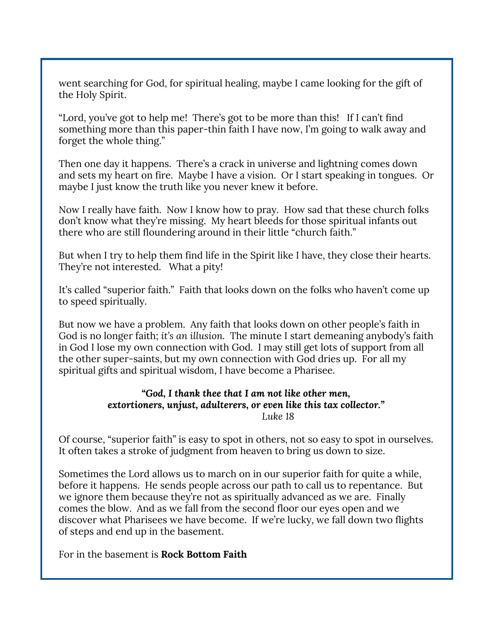went searching for God, for spiritual healing, maybe I came looking for the gift of the Holy Spirit.

"Lord, you've got to help me! There's got to be more than this! If I can't find something more than this paper-thin faith I have now, I'm going to walk away and forget the whole thing."

Then one day it happens. There's a crack in universe and lightning comes down and sets my heart on fire. Maybe I have a vision. Or I start speaking in tongues. Or maybe I just know the truth like you never knew it before.

Now I really have faith. Now I know how to pray. How sad that these church folks don't know what they're missing. My heart bleeds for those spiritual infants out there who are still floundering around in their little "church faith."

But when I try to help them find life in the Spirit like I have, they close their hearts. They're not interested. What a pity!

It's called "superior faith." Faith that looks down on the folks who haven't come up to speed spiritually.

But now we have a problem. Any faith that looks down on other people's faith in God is no longer faith; *it's an illusion.* The minute I start demeaning anybody's faith in God I lose my own connection with God. I may still get lots of support from all the other super-saints, but my own connection with God dries up. For all my spiritual gifts and spiritual wisdom, I have become a Pharisee.

#### *"God, I thank thee that I am not like other men, extortioners, unjust, adulterers, or even like this tax collector." Luke 18*

Of course, "superior faith" is easy to spot in others, not so easy to spot in ourselves. It often takes a stroke of judgment from heaven to bring us down to size.

Sometimes the Lord allows us to march on in our superior faith for quite a while, before it happens. He sends people across our path to call us to repentance. But we ignore them because they're not as spiritually advanced as we are. Finally comes the blow. And as we fall from the second floor our eyes open and we discover what Pharisees we have become. If we're lucky, we fall down two flights of steps and end up in the basement.

For in the basement is **Rock Bottom Faith**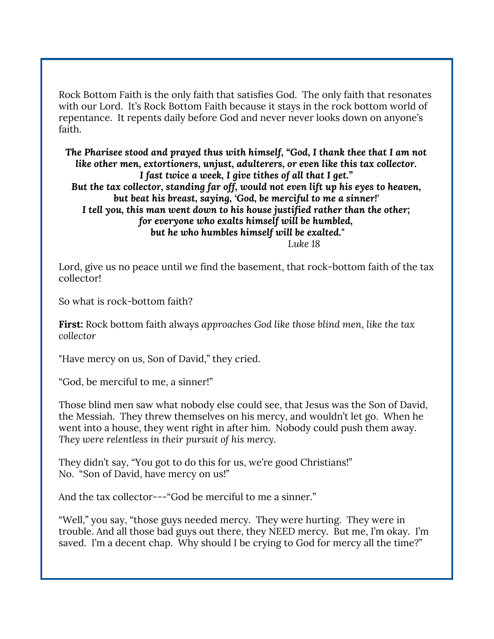Rock Bottom Faith is the only faith that satisfies God. The only faith that resonates with our Lord. It's Rock Bottom Faith because it stays in the rock bottom world of repentance. It repents daily before God and never never looks down on anyone's faith.

*The Pharisee stood and prayed thus with himself, "God, I thank thee that I am not like other men, extortioners, unjust, adulterers, or even like this tax collector. I fast twice a week, I give tithes of all that I get." But the tax collector, standing far off, would not even lift up his eyes to heaven, but beat his breast, saying, 'God, be merciful to me a sinner!' I tell you, this man went down to his house justified rather than the other; for everyone who exalts himself will be humbled, but he who humbles himself will be exalted." Luke 18*

Lord, give us no peace until we find the basement, that rock-bottom faith of the tax collector!

So what is rock-bottom faith?

**First:** Rock bottom faith always *approaches God like those blind men*, *like the tax collector*

"Have mercy on us, Son of David," they cried.

"God, be merciful to me, a sinner!"

Those blind men saw what nobody else could see, that Jesus was the Son of David, the Messiah. They threw themselves on his mercy, and wouldn't let go. When he went into a house, they went right in after him. Nobody could push them away. *They were relentless in their pursuit of his mercy.*

They didn't say, "You got to do this for us, we're good Christians!" No. "Son of David, have mercy on us!"

And the tax collector---"God be merciful to me a sinner."

"Well," you say, "those guys needed mercy. They were hurting. They were in trouble. And all those bad guys out there, they NEED mercy. But me, I'm okay. I'm saved. I'm a decent chap. Why should I be crying to God for mercy all the time?"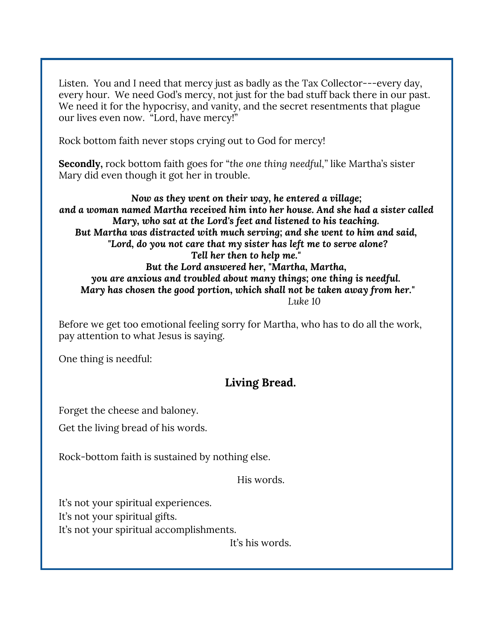Listen. You and I need that mercy just as badly as the Tax Collector---every day, every hour. We need God's mercy, not just for the bad stuff back there in our past. We need it for the hypocrisy, and vanity, and the secret resentments that plague our lives even now. "Lord, have mercy!"

Rock bottom faith never stops crying out to God for mercy!

**Secondly,** rock bottom faith goes for "*the one thing needful,"* like Martha's sister Mary did even though it got her in trouble.

*Now as they went on their way, he entered a village; and a woman named Martha received him into her house. And she had a sister called Mary, who sat at the Lord's feet and listened to his teaching. But Martha was distracted with much serving; and she went to him and said, "Lord, do you not care that my sister has left me to serve alone? Tell her then to help me." But the Lord answered her, "Martha, Martha, you are anxious and troubled about many things; one thing is needful. Mary has chosen the good portion, which shall not be taken away from her." Luke 10*

Before we get too emotional feeling sorry for Martha, who has to do all the work, pay attention to what Jesus is saying.

One thing is needful:

### **Living Bread.**

Forget the cheese and baloney.

Get the living bread of his words.

Rock-bottom faith is sustained by nothing else.

His words.

It's not your spiritual experiences. It's not your spiritual gifts.

It's not your spiritual accomplishments.

It's his words.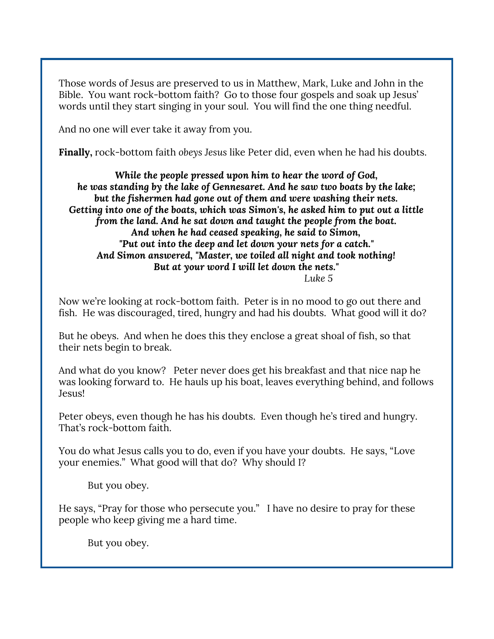Those words of Jesus are preserved to us in Matthew, Mark, Luke and John in the Bible. You want rock-bottom faith? Go to those four gospels and soak up Jesus' words until they start singing in your soul. You will find the one thing needful.

And no one will ever take it away from you.

**Finally,** rock-bottom faith *obeys Jesus* like Peter did, even when he had his doubts.

*While the people pressed upon him to hear the word of God, he was standing by the lake of Gennesaret. And he saw two boats by the lake; but the fishermen had gone out of them and were washing their nets. Getting into one of the boats, which was Simon's, he asked him to put out a little from the land. And he sat down and taught the people from the boat. And when he had ceased speaking, he said to Simon, "Put out into the deep and let down your nets for a catch." And Simon answered, "Master, we toiled all night and took nothing! But at your word I will let down the nets." Luke 5*

Now we're looking at rock-bottom faith. Peter is in no mood to go out there and fish. He was discouraged, tired, hungry and had his doubts. What good will it do?

But he obeys. And when he does this they enclose a great shoal of fish, so that their nets begin to break.

And what do you know? Peter never does get his breakfast and that nice nap he was looking forward to. He hauls up his boat, leaves everything behind, and follows Jesus!

Peter obeys, even though he has his doubts. Even though he's tired and hungry. That's rock-bottom faith.

You do what Jesus calls you to do, even if you have your doubts. He says, "Love your enemies." What good will that do? Why should I?

But you obey.

He says, "Pray for those who persecute you." I have no desire to pray for these people who keep giving me a hard time.

But you obey.